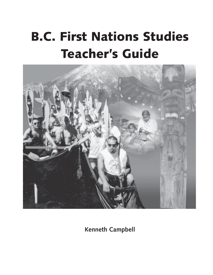# **B.C. First Nations Studies Teacher's Guide**



**Kenneth Campbell**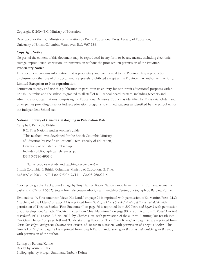Copyright © 2004 B.C. Ministry of Education.

Developed for the B.C. Ministry of Education by Pacific Educational Press, Faculty of Education, University of British Columbia, Vancouver, B.C. V6T 1Z4.

#### **Copyright Notice**

No part of the content of this document may be reproduced in any form or by any means, including electronic storage, reproduction, execution, or transmission without the prior written permission of the Province.

#### **Proprietary Notice**

This document contains information that is proprietary and confidential to the Province. Any reproduction, disclosure, or other use of this document is expressly prohibited except as the Province may authorize in writing.

#### **Limited Exception to Non-reproduction**

Permission to copy and use this publication in part, or in its entirety, for non-profit educational purposes within British Columbia and the Yukon, is granted to all staff of B.C. school board trustees, including teachers and administrators; organizations comprising the Educational Advisory Council as identified by Ministerial Order; and other parties providing direct or indirect education programs to entitled students as identified by the School Act or the Independent School Act.

#### **National Library of Canada Cataloguing in Publication Data**

Campbell, Kenneth, 1949–

B.C. First Nations studies teacher's guide "This textbook was developed for the British Columbia Ministry of Education by Pacific Educational Press, Faculty of Education, University of British Columbia."--p. Includes bibliographical references: p. ISBN 0-7726-4907-3

1. Native peoples – Study and teaching (Secondary) – British Columbia. I. British Columbia. Ministry of Education. II. Title. E78.B9C35 2003 971.1'00497'00712711 C2003-960022-X

Cover photographs: background image by Troy Hunter; Katzie Nation canoe launch by Erin Culhane; woman with baskets: RBCM (PN 6632); totem from Vancouver Aboriginal Friendship Centre, photograph by Barbara Kuhne.

Text credits: "A First American Views His Land," on page 24 is reprinted with permission of St. Martin's Press, LLC; "Teaching of the Elders," on page 42 is reprinted from *Nak'azdli Elders Speak / Nak'azdli t'enne Yahulduk* with permission of Theytus Books; "First Encounter," on page 70 is reprinted from *500 Years and Beyond* with permission of CoDevelopment Canada; "Potlatch: Letter from Chief Maquinna," on page 98 is reprinted from *To Potlatch or Not to Potlatch,* BCTF Lesson Aid No. 2011, by Charles Hou, with permission of the author; "Putting Our Breath Into Our Own Things," on page 169 and "Understanding People on Their Own Terms," on page 170 are reprinted from *Crisp Blue Edges: Indigenous Creative Non-Fiction*, ed. Rasuhan Marsden, with permission of Theytus Books; "This Gun Is For Me," on page 171 is reprinted from Joseph Dandurand, *burning for the dead and scratching for the poor,* with permission of the author.

Editing by Barbara Kuhne Design by Warren Clark Bibliography by Morgen Smith and Barbara Kuhne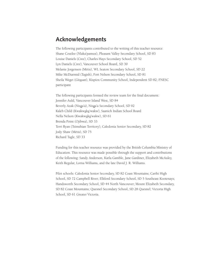## **Acknowledgements**

The following participants contributed to the writing of this teacher resource: Shane Coutlee (Nlaka'pamux), Pleasant Valley Secondary School, SD 83 Louise Daniels (Cree), Charles Hays Secondary School, SD 52 Lyn Daniels (Cree), Vancouver School Board, SD 39 Melanie Jorgensen (Métis), WL Seaton Secondary School, SD 22 Mike McDiarmid (Tagish), Fort Nelson Secondary School, SD 81 Sheila Weget (Gitxsan), Kispiox Community School, Independent SD 82; FNESC participant

The following participants formed the review team for the final document: Jennifer Auld, Vancouver Island West, SD 84 Beverly Azak (Nisga'a), Nisga'a Secondary School, SD 92 Kaleb Child (Kwakwaka'wakw), Saanich Indian School Board Nella Nelson (Kwakwaka'wakw), SD 61 Brenda Point (Ojibwa), SD 33 Terri Ryan (Tsimshian Territory), Caledonia Senior Secondary, SD 82 Jody Shaw (Métis), SD 75 Richard Tagle, SD 33

Funding for this teacher resource was provided by the British Columbia Ministry of Education. This resource was made possible through the support and contributions of the following: Sandy Anderson, Karla Gamble, Jane Gardiner, Elizabeth McAuley, Keith Regular, Lorna Williams, and the late David J. R. Williams.

Pilot schools: Caledonia Senior Secondary, SD 82 Coast Mountains; Carihi High School, SD 72 Campbell River; Elkford Secondary School, SD 5 Southeast Kootenays; Handsworth Secondary School, SD 44 North Vancouver; Mount Elizabeth Secondary, SD 82 Coast Mountains; Quesnel Secondary School, SD 28 Quesnel; Victoria High School, SD 61 Greater Victoria.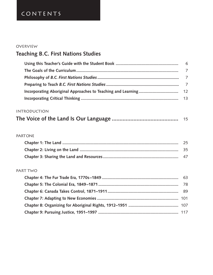# CONTENTS

## **OVERVIEW**

# **Teaching B.C. First Nations Studies**

## **INTRODUCTION**

|  | -15 |
|--|-----|
|--|-----|

#### **PARTONE**

## Part Two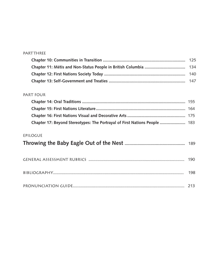#### **PART THREE**

## PART FOUR

| Chapter 17: Beyond Stereotypes: The Portrayal of First Nations People  183 |  |
|----------------------------------------------------------------------------|--|

## Epilogue

|--|--|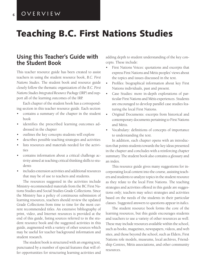**6**

# **Teaching B.C. First Nations Studies**

## **Using this Teacher's Guide with the Student Book**

This teacher resource guide has been created to assist teachers in using the student resource book, *B.C. First Nations Studies*. The student book and resource guide closely follow the thematic organization of the *B.C. First Nations Studies Integrated Resource Package* (IRP) and support all of the learning outcomes of the IRP.

Each chapter of the student book has a corresponding section in this teacher resource guide. Each section

- contains a summary of the chapter in the student book
- identifies the prescribed learning outcomes addressed in the chapter
- outlines the key concepts students will explore
- describes possible teaching strategies and activities
- lists resources and materials needed for the activities
- contains information about a critical challenge activity aimed at teaching critical thinking skills to students
- includes extension activities and additional resources that may be of use to teachers and students.

The resources suggested in the activities include Ministry-recommended materials from the BC First Nations Studies and Social Studies Grade Collections. Since the Ministry has a policy of continuous submission of learning resources, teachers should review the updated Grade Collections from time to time for the most current recommended titles. An extensive bibliography of print, video, and Internet resources is provided at the end of this guide, listing sources referred to in the student resource book and the suggested activities in this guide, augmented with a variety of other sources which may be useful for teacher background information and student research.

The student book is structured with an ongoing text, punctuated by a number of special features that will offer opportunities for structuring learning activities and

adding depth to student understanding of the key concepts. These include:

- First Nations Voices: quotations and excerpts that express First Nations and Métis peoples' views about the topics and issues discussed in the text.
- Profiles: biographical information about key First Nations individuals, past and present.
- Case Studies: more in-depth explorations of particular First Nations and Métis experiences. Students are encouraged to develop parallel case studies featuring the local First Nations.
- Original Documents: excerpts from historical and contemporary documents pertaining to First Nations and Métis.
- Vocabulary: definitions of concepts of importance to understanding the text.

In addition, each chapter opens with an introduction that points students towards the key ideas presented in the chapter and concludes with a reinforcing chapter summary. The student book also contains a glossary and an index.

This resource guide gives many suggestions for incorporating local content into the course, assisting teachers and students to analyze topics in the student resource as they relate to the local First Nations. The teaching strategies and activities offered in this guide are suggestions only; teachers may select strategies and activities based on the needs of the students in their particular classes. Suggested answers to questions appear in *italics.*

The student resource book forms the core of the learning resources, but this guide encourages students and teachers to use a variety of other resources as well. These may include resources available within the school, such as books, magazines, newspapers, videos, and web sites, and those beyond the school, such as Elders, First Nations role models, museums, local archives, Friendship Centres, Métis associations, and other community resources.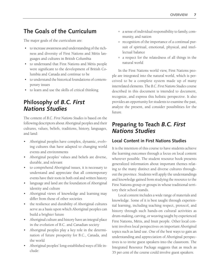## **The Goals of the Curriculum**

The major goals of the curriculum are:

- to increase awareness and understanding of the richness and diversity of First Nations and Métis languages and cultures in British Columbia
- to understand that First Nations and Métis people were significant to the development of British Columbia and Canada and continue to be
- to understand the historical foundations of contemporary issues
- to learn and use the skills of critical thinking

## **Philosophy of** *B.C. First Nations Studies*

The content of *B.C. First Nations Studies* is based on the following descriptors about Aboriginal peoples and their cultures, values, beliefs, traditions, history, languages, and land:

- Aboriginal peoples have complex, dynamic, evolving cultures that have adapted to changing world events and environments
- Aboriginal peoples' values and beliefs are diverse, durable, and relevant
- to comprehend Aboriginal issues, it is necessary to understand and appreciate that all contemporary events have their roots in both oral and written history
- language and land are the foundation of Aboriginal identity and culture
- Aboriginal views of knowledge and learning may differ from those of other societies
- the resilience and durability of Aboriginal cultures serve as a basis upon which Aboriginal peoples can build a brighter future
- Aboriginal culture and history have an integral place in the evolution of B.C. and Canadian society
- Aboriginal peoples play a key role in the determination of future prosperity for B.C., Canada, and the world
- Aboriginal peoples' long-established ways of life include:
- ° a sense of individual responsibility to family, community, and nation
- recognition of the importance of a continual pursuit of spiritual, emotional, physical, and intellectual balance
- ° a respect for the relatedness of all things in the natural world

In the First Nations world view, First Nations people are integrated into the natural world, which is perceived to be a complete system made up of many interrelated elements. The *B.C. First Nations Studies* course described in this document is intended to document, recognize, and express this holistic perspective. It also provides an opportunity for students to examine the past, analyze the present, and consider possibilities for the future.

## **Preparing to Teach** *B.C. First Nations Studies*

## **Local Content in First Nations Studies**

It is the intention of this course to have students achieve the learning outcomes through a focus on local content wherever possible. The student resource book presents generalized information about important themes relating to the many distinct and diverse cultures throughout the province. Students will apply the understandings and knowledge gained from studying the resource to the First Nations group or groups in whose traditional territory their school stands.

Local content includes a wide range of materials and knowledge. Some of it is best taught through experiential learning, including teaching respect, protocol, and history through such hands-on cultural activities as drum-making, carving, or weaving taught by experienced First Nations, Métis, and Inuit people. Other local content involves local perspectives on important Aboriginal topics such as land use. One of the best ways to gain an understanding and appreciation of Aboriginal perspectives is to invite guest speakers into the classroom. The Integrated Resource Package suggests that as much as 35 per cent of the course could involve guest speakers.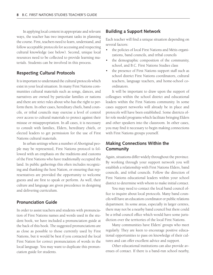In applying local content in appropriate and relevant ways, the teacher has two important tasks in planning the course. First, teachers need to learn, understand, and follow acceptable protocols for accessing and respecting cultural knowledge (see below). Second, unique local resources need to be collected to provide learning materials. Students can be involved in this process.

#### **Respecting Cultural Protocols**

It is important to understand the cultural protocols which exist in your local situation. In many First Nations communities cultural materials such as songs, dances, and narratives are owned by particular families or nations and there are strict rules about who has the right to perform them. In other cases, hereditary chiefs, band councils, or tribal councils may exercise a level of control over access to cultural materials to protect against their misuse or misappropriation. In all cases, it is necessary to consult with families, Elders, hereditary chiefs, or elected leaders to get permission for the use of First Nations cultural materials.

In urban settings where a number of Aboriginal people may be represented, First Nations protocol is followed with an emphasis on the traditions and customs of the First Nations who have traditionally occupied the land. In public gatherings this often includes recognizing and thanking the host Nation, or ensuring that representatives are provided the opportunity to welcome guests and are first to speak or perform. As well, their culture and language are given precedence in designing and delivering curriculum.

#### **Pronunciation Guide**

In order to assist teachers and students with pronunciation of First Nations names and words used in the student book, we have included a pronunciation guide at the back of this book. The suggested pronunciations are as close as possible to those currently used by First Nations, but it would be best if you contacted the local First Nation for correct pronunciation of words in the local language. You may want to duplicate this pronunciation guide for students.

#### **Building a Support Network**

Each teacher will find a unique situation depending on several factors:

- the policies of local First Nations and Métis organizations, band councils, and tribal councils
- the demographic composition of the community, school, and B.C. First Nations Studies class
- the presence of First Nations support staff such as school district First Nations coordinators, cultural teachers, language teachers, and home-school coordinators.

It will be important to draw upon the support of colleagues within the school district and educational leaders within the First Nations community. In some cases support networks will already be in place and protocols will have been established. Some districts offer role model programs which facilitate bringing Elders and other speakers into the classroom. In other cases, you may find it necessary to begin making connections with First Nations groups yourself.

### **Making Connections Within the Community**

Again, situations differ widely throughout the province. By working through your support network you will establish a relationship with First Nations Elders, band councils, and tribal councils. Follow the direction of First Nations educational leaders within your school district to determine with whom to make initial contact.

You may need to contact the local band council office to inquire about local protocols. Many band councils will have an education coordinator or public relations department. In some areas, especially in larger centres, there may not be a nearby band council but there could be a tribal council office which would have some jurisdiction over the territories of the local First Nations.

Many communities have Elders' groups who meet regularly. They are keen to encourage positive educational opportunities to pass on knowledge of their cultures and can offer excellent advice and support.

Other educational institutions can also provide avenues of contact. If there is a band-run school nearby,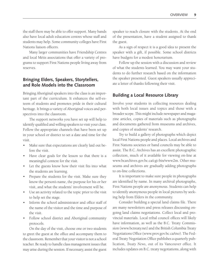the staff there may be able to offer support. Many bands also have local adult education centres whose staff and students may help. Some community colleges have First Nations liaison officers.

Many larger communities have Friendship Centres and local Métis associations that offer a variety of programs to support First Nations people living away from reserves.

## **Bringing Elders, Speakers, Storytellers, and Role Models into the Classroom**

Bringing Aboriginal speakers into the class is an important part of the curriculum. It enhances the self-esteem of students and promotes pride in their cultural heritage. It brings a variety of Aboriginal voices and perspectives into the classroom.

The support networks you have set up will help to identify qualified and willing speakers to visit your class. Follow the appropriate channels that have been set up in your school or district to set a date and time for the visit.

- Make sure that expectations are clearly laid out before the visit.
- Have clear goals for the lesson so that there is a meaningful context for the visit.
- Let the guests know how their visit fits into what the students are learning.
- Prepare the students for the visit. Make sure they know the person's name, the purpose for his or her visit, and what the students' involvement will be.
- Use an activity related to the topic prior to the visit to help set the stage.
- Inform the school administrator and office staff of the name of the visitor and the time and purpose of the visit.
- Follow school district and Aboriginal community protocols.

On the day of the visit, choose one or two students to greet the guest at the office and accompany them to the classroom. Remember that your visitor is not a school teacher. Be ready to handle class management issues that may arise during the session. If necessary, assist the guest

speaker to reach closure with the students. At the end of the presentation, have a student assigned to thank the guest.

As a sign of respect it is a good idea to present the speaker with a gift, if possible. Some school districts have budgets for a modest honorarium.

Follow up the session with a discussion and review of what the students learned. You may want your students to do further research based on the information the speaker presented. Guest speakers usually appreciate a letter of thanks following their visit.

## **Building a Local Resource Library**

Involve your students in collecting resources dealing with both local issues and topics and those with a broader scope. This might include newspaper and magazine articles, copies of materials such as photographs and documents gathered from museums and archives, and copies of students' research.

Try to build a gallery of photographs which depict local First Nations people and places. Local archives and First Nations societies or band councils may be able to assist. The B.C. Archives has an excellent photographic collection, much of it available for viewing on-line at www.bcarchives.gov.bc.ca/cgi-bin/www2m. Other museums and archives are gradually adding photographs to on-line collections.

It is important to make sure people in photographs are identified by name. In many archival photographs, First Nations people are anonymous. Students can help to identify anonymous people in local pictures by seeking help from Elders in the community.

Consider building a special land claims file. There are many newsletters and press releases discussing ongoing land claims negotiations. Collect local and provincial materials. Local tribal council offices will likely have information, as well as the B.C. Treaty Commission (www.bctreaty.net) and the British Columbia Treaty Negotiations Office (www.prov.gov.bc.ca/tno). The Federal Treaty Negotiation Office publishes a quarterly publication, *Treaty News*, out of its Vancouver office. It includes updates on B.C. treaty negotiations, along with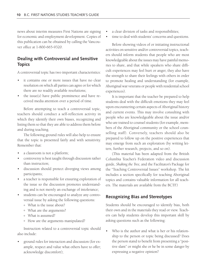news about interim measures First Nations are signing for economic and employment development. Copies of this publication can be obtained by calling the Vancouver office at 1-800-665-9320.

## **Dealing with Controversial and Sensitive Topics**

A controversial topic has two important characteristics:

- it contains one or more issues that have no clear resolution on which all parties can agree or for which there are no readily available resolutions;
- the issue $(s)$  have public prominence and have received media attention over a period of time.

Before attempting to teach a controversial topic, teachers should conduct a self-reflection activity in which they identify their own biases, recognizing and listing them so that they are able to address them before and during teaching.

The following ground rules will also help to ensure that the topic is presented fairly and with sensitivity. Remember that:

- a classroom is not a platform;
- controversy is best taught through discussion rather than instruction;
- discussion should protect diverging views among participants;
- a teacher is responsible for ensuring exploration of the issue so the discussion promotes understanding and is not merely an exchange of intolerance;
- students can be encouraged to analyze any controversial issue by asking the following questions:
	- ° What is the issue about?
	- ° What are the arguments?
	- ° What is assumed?
	- ° How are the arguments manipulated?

Instruction related to a controversial topic should also include:

• ground rules for interaction and discussion (for example, respect and value what others have to offer; acknowledge discomfort);

- a clear division of tasks and responsibilities;
- time to deal with students' concerns and questions.

Before showing videos of or initiating instructional activities on sensitive and/or controversial topics, teachers should inform students that people who are most knowledgeable about the issues may have painful memories to share, and that while speakers who share difficult experiences may feel hurt or anger, they also have the strength to share their feelings with others in order to promote healing and understanding (for example, Aboriginal war veterans or people with residential school experiences).

It is important that the teacher be prepared to help students deal with the difficult emotions they may feel upon encountering certain aspects of Aboriginal history and current events. This may involve consulting with people who are knowledgeable about the issue and/or who are trained to counsel students (for example, members of the Aboriginal community or the school counselling staff). Conversely, teachers should also be prepared to follow up on the positive experiences that may emerge from such an exploration (by writing letters, further research, projects, and so on).

(This material has been adapted from the British Columbia Teacher's Federation video and discussion guide, *Shaking the Tree,* and the Facilitator's Package for the "Teaching Controversial Issues" workshop. The kit includes a section specifically for teaching Aboriginal topics and contains valuable information for all teachers. The materials are available from the BCTF.)

#### **Recognizing Bias and Stereotypes**

Students should be encouraged to identify bias, both their own and in the materials they read or view. Teachers can help students develop this important skill by asking questions such as the following:

Who is the author and what is her or his relationship to the person or topic being discussed? Does the person stand to benefit from presenting a "positive slant" or might she or he be in some danger by expressing a negative opinion?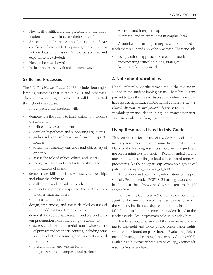- How well qualified are the presenters of the information and how reliable are their sources?
- Are claims made that cannot be supported? Are conclusions based on facts, opinions, or assumptions?
- Is there bias by omission? Whose perspective and experience is excluded?
- How is the bias shown?
- Is this resource still valuable in some way?

### **Skills and Processes**

The *B.C. First Nations Studies 12 IRP* includes four major learning outcomes that relate to skills and processes. These are overarching outcomes that will be integrated throughout the course.

It is expected that students will:

- demonstrate the ability to think critically, including the ability to
	- ° define an issue or problem
	- ° develop hypotheses and supporting arguments
	- ° gather relevant information from appropriate sources
	- assess the reliability, currency, and objectivity of evidence
	- ° assess the role of values, ethics, and beliefs
	- recognize cause and effect relationships and the implications of events
- demonstrate skills associated with active citizenship, including the ability to
	- ° collaborate and consult with others
	- ° respect and promote respect for the contributions of other team members
	- ° interact confidently
- design, implement, and assess detailed courses of action to address First Nations issues
- demonstrate appropriate research and oral and written presentation skills, including the ability to
	- ° access and interpret material from a wide variety of primary and secondary sources, including print sources, electronic sources, and First Nations oral traditions
	- ° present in oral and written form
	- ° design, construct, compose, and perform
- ° create and interpret maps
- ° present and interpret data in graphic form

A number of learning strategies can be applied to teach these skills and apply the processes. These include:

- using a critical approach to research materials
- incorporating critical thinking strategies
- keeping reflective journals

## **A Note about Vocabulary**

Not all culturally specific terms used in the text are included in the student book glossary. Therefore it is important to take the time to discuss and define words that have special significance in Aboriginal cultures (e.g., *matrilineal, shaman, colonial powers*). Some activities to build vocabulary are included in this guide; many other strategies are available in language arts resources.

## **Using Resources Listed in this Guide**

This course calls for the use of a wide variety of supplementary resources including some from local sources. Many of the learning resources listed in this guide are not on the ministry's provincially Recommended list and must be used according to local school board approval procedures. See the policy at: http://www.bced.gov.bc.ca/ policy/policies/prov\_approval\_of\_lr.htm.

Annotations and purchasing information for the provincially Recommended BCFNS12 learning resources can be found at: http://www.bced.gov.bc.ca/irp/bcfns12/ apbtoc.htm.

BC Learning Connection (BCLC) is the distribution agent for Provincially Recommended videos for which the Ministry has licensed duplication rights. In addition, BCLC is a distributor for some other videos listed in this teacher guide. See: http://www.bclc.bc.ca/index.htm.

Teachers should be aware of the provisions pertaining to copyright and video public performance rights, which can be found on page three of Evaluating, Selecting and Managing Learning Resources: A Guide (2002), available at: http://www.bced.gov.bc.ca/irp\_resources/lr/ resource/res\_main.htm.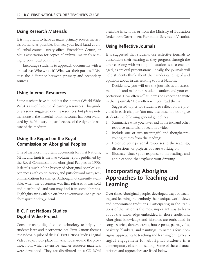#### **Using Research Materials**

It is important to have as many primary source materials on hand as possible. Contact your local band council, tribal council, treaty office, Friendship Centre, or Métis association for copies of archival materials relating to your local community.

Encourage students to approach documents with a critical eye. Who wrote it? What was their purpose? Discuss the difference between primary and secondary sources.

#### **Using Internet Resources**

Some teachers have found that the internet (World Wide Web) is a useful source of learning resources. This guide offers some suggested on-line resources, but please note that none of the material from this source has been evaluated by the Ministry, in part because of the dynamic nature of the medium.

## **Using the Report on the Royal Commission on Aboriginal Peoples**

One of the most important documents for First Nations, Métis, and Inuit is the five-volume report published by the Royal Commission on Aboriginal Peoples in 1996. It details much of the history of Aboriginal peoples' experiences with colonization, and puts forward many recommendations for change. Although not currently available, when the document was first released it was sold and distributed, and you may find it in some libraries. Highlights are available on-line at www.ainc-inac.gc.ca/ ch/rcap/rpt/index\_e.html.

## **B.C. First Nations Studies Digital Video Project**

Consider using digital video technology to help your students learn and incorporate local First Nations themes into videos. A pilot of the B.C. First Nations Studies Digital Video Project took place in five schools around the province, from which extensive teacher resource materials were developed. They are distributed on a CD-ROM

available in schools or from the Ministry of Education (order from Government Publication Services in Victoria).

#### **Using Reflective Journals**

It is suggested that students use reflective journals to consolidate their learning as they progress through the course. Along with writing, illustration is also encouraged, as are oral presentations. Ideally, the journals will help students think about their understanding of and opinions about issues relating to First Nations.

Decide how you will use the journals as an assessment tool, and make sure students understand your expectations. How often will students be expected to write in their journals? How often will you read them?

Suggested topics for students to reflect on are provided in each chapter. You may use these topics or give students the following general guidelines:

- 1. Summarize what you have read in the text and other resource materials, or seen in a video.
- 2. Include one or two meaningful and thought-provoking quotes from the readings.
- 3. Describe your personal responses to the readings, discussions, or projects you are working on.
- 4. Illustrate (draw) your response to the readings and add a caption that explains your drawing.

## **Incorporating Aboriginal Approaches to Teaching and Learning**

Over time, Aboriginal peoples developed ways of teaching and learning that embody their unique world views and concomitant traditions. Participating in the traditions of the nation is the most important way to learn about the knowledge embedded in those traditions. Aboriginal knowledge and histories are embedded in songs, stories, dances, crests, house posts, petroglyphs, basketry, blankets, and paintings, to name a few. Aboriginal approaches to teaching and learning bring meaningful engagement for Aboriginal students in a contemporary classroom setting. Some of these characteristics and approaches are listed below: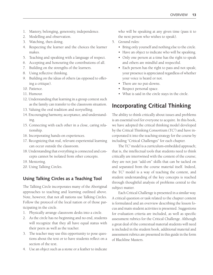- 1. Mastery, belonging, generosity, independence.
- 2. Modelling and observation.
- 3. Watching, then doing.
- 4. Respecting the learner and the choices the learner makes.
- 5. Teaching and speaking with a language of respect.
- 6. Accepting and honouring the contributions of all.
- 7. Building on the strengths of the learners.
- 8. Using reflective thinking.
- 9. Building on the ideas of others (as opposed to offering a critique).
- 10. Patience.
- 11. Humour.
- 12. Understanding that learning in a group context such as the family can transfer to the classroom situation.
- 13. Valuing the oral tradition and storytelling.
- 14. Encouraging harmony, acceptance, and understanding.
- 15. Connecting with each other in a close, caring relationship.
- 16. Incorporating hands-on experiences.
- 17. Recognizing that real, relevant experiential learning can occur outside the classroom.
- 18. Understanding that everything is connected and concepts cannot be isolated from other concepts.
- 19. Mentoring.
- 20. Using Talking Circles.

## **Using Talking Circles as a Teaching Tool**

The Talking Circle incorporates many of the Aboriginal approaches to teaching and learning outlined above. Note, however, that not all nations use Talking Circles. Follow the protocol of the local nation or of those participating in the circle.

- 1. Physically arrange classroom desks into a circle.
- 2. As the circle has no beginning and no end, students will recognize that they all have equal status with their peers as well as the teacher.
- 3. The teacher may use this opportunity to pose questions about the text or to have students reflect on a section of the text.
- 4. Use an object such as a stone or a feather to indicate

who will be speaking at any given time (pass it to the next person who wishes to speak).

- 5. Ground rules:
	- Bring only yourself and nothing else to the circle.
	- Have an object to indicate who will be speaking.
	- Only one person at a time has the right to speak and others are mindful and respectful.
	- Each person has the right to pass and not speak; your presence is appreciated regardless of whether your voice is heard or not.
	- There are no put-downs.
	- Respect personal space.
	- What is said in the circle stays in the circle.

## **Incorporating Critical Thinking**

The ability to think critically about issues and problems is an essential tool for everyone to acquire. In this book, we have adopted the critical thinking model developed by the Critical Thinking Consortium (TC<sup>2</sup>) and have incorporated it into the teaching strategy for the course by including "Critical Challenges" for each chapter.

The TC<sup>2</sup> model is a curriculum-embedded approach; that is, the intellectual tools that students need to think critically are intertwined with the content of the course; they are not just "add-on" skills that can be tacked on and separated from the course material itself. Indeed, the TC2 model is a way of teaching the content, and student understanding of the key concepts is reached through thoughtful analysis of problems central to the subject matter.

Each Critical Challenge is presented in a similar way. A critical question or task related to the chapter content is formulated and an overview describing the lesson focus and main student activities is presented. Suggestions for evaluation criteria are included, as well as specific assessment rubrics for the Critical Challenge. Although a great deal of the contextual material students will need is included in the student book, additional material and assessment rubrics are presented in this guide in the form of Blackline Masters.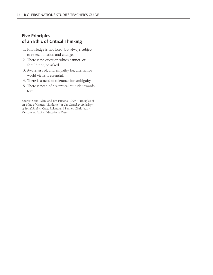## **Five Principles of an Ethic of Critical Thinking**

- 1. Knowledge is not fixed, but always subject to re-examination and change.
- 2. There is no question which cannot, or should not, be asked.
- 3. Awareness of, and empathy for, alternative world views is essential.
- 4. There is a need of tolerance for ambiguity.
- 5. There is need of a skeptical attitude towards text.

Source: Sears, Alan, and Jim Parsons. 1999. "Principles of an Ethic of Critical Thinking," in *The Canadian Anthology of Social Studies,* Case, Roland and Penney Clark (eds.). Vancouver: Pacific Educational Press.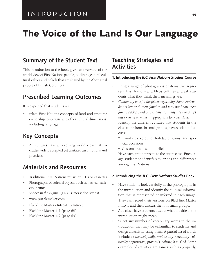# **The Voice of the Land Is Our Language**

## **Summary of the Student Text**

This introduction to the book gives an overview of the world view of First Nations people, outlining central cultural values and beliefs that are shared by the Aboriginal people of British Columbia.

## **Prescribed Learning Outcomes**

It is expected that students will:

• relate First Nations concepts of land and resource ownership to spiritual and other cultural dimensions, including language

## **Key Concepts**

• All cultures have an evolving world view that includes widely accepted yet unstated assumptions and practices.

## **Materials and Resources**

- Traditional First Nations music on CDs or cassettes
- Photographs of cultural objects such as masks, feathers, drums
- Video: *In the Beginning* (*BC Times* video series)
- www.puzzlemaker.com
- Blackline Masters Intro-1 to Intro-6
- Blackline Master 4-1 (page 68)
- Blackline Master 4-2 (page 69)

## **Teaching Strategies and Activities**

#### **1. Introducing the** *B.C. First Nations Studies* **Course**

- Bring a range of photographs or items that represent First Nations and Métis cultures and ask students what they think their meanings are.
- *Cautionary note for the following activity*: *Some students do not live with their families and may not know their family background or customs. You may need to adapt this exercise to make it appropriate for your class.* Identify the different cultures that students in the class come from. In small groups, have students dis-
	- ° Family background, holiday customs, and special occasions
	- ° Customs, values, and beliefs

cuss:

Have each group present to the entire class. Encourage students to identify similarities and differences among First Nations.

#### **2. Introducing the** *B.C. First Nations Studies* **Book**

- Have students look carefully at the photographs in the introduction and identify the cultural information that is represented or inferred in each image. They can record their answers on Blackline Master Intro-1 and then discuss them in small groups.
- As a class, have students discuss what the title of the introduction might mean.
- Select any number of vocabulary words in the introduction that may be unfamiliar to students and design an activity using them. A partial list of words includes: *extended family, oral history, hereditary, culturally appropriate, protocols, holistic, banished.* Some examples of activities are games such as Jeopardy,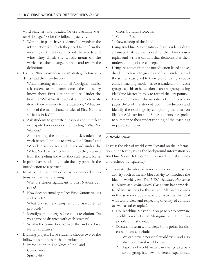word searches, and puzzles. Or use Blackline Master 4-1 (page 68) for the following activity:

- ° Working in pairs, have students find words in the introduction for which they need to confirm the meanings. Students can record the words and what they think the words mean on the worksheet, then change partners and review the definitions.
- Use the "Know-Wonder-Learn" strategy before students read the introduction.
	- ° While listening to traditional Aboriginal music, ask students to brainstorm some of the things they know about First Nations culture. Under the heading "What We Know," ask students to write down their answers to the question, "What are some of the main characteristics of First Nations societies in B.C.?"
	- ° Ask students to generate questions about unclear or disputed ideas under the heading "What We Wonder."
	- ° After reading the introduction, ask students to work in small groups to review the "Know" and "Wonder" responses and to record under the "What We Learned" column things they learned from the reading and what they still need to learn.
- In pairs, have students explain the key points in the introduction to a partner.
- In pairs, have students discuss open-ended questions such as the following:
	- ° Why are stories significant to First Nations cultures?
	- ° How does spirituality reflect First Nations values and beliefs?
	- ° What are some examples of cross-cultural protocols?
	- ° Identify some strategies for conflict resolution. Do you agree or disagree with each strategy?
	- ° What is the connection between the land and First Nations cultures?
- Drawing project: Have students choose two of the following six topics in the introduction:
	- ° Introduction to The Voice of the Land
	- ° Governance
	- ° Spirituality
- ° Cross-Cultural Protocols
- ° Conflict Resolution
- ° Stewardship of the Land

Using Blackline Master Intro-2, have students draw an image that represents each of their two chosen topics and write a caption that demonstrates their understanding of the concept.

- Using the topics from the introduction listed above, divide the class into groups and have students read the sections assigned to their group. Using a cooperative teaching model, have a student from each group teach his or her section to another group, using Blackline Master Intro-3 to record the key points.
- Have students read the narratives (in red type) on pages 8–15 of the student book introduction and identify the teachings by completing the chart on Blackline Master Intro-4. Some students may prefer to summarize their understanding of the teachings in paragraph form.

#### **2. World View**

Discuss the idea of world view. Expand on the information in the text by using the background information on Blackline Master Intro-5. You may want to make it into an overhead transparency.

- To make the idea of world view concrete, use an activity such as the ink blot activity to introduce the idea of world view. The *NESA Activities Handbook for Native and Multicultural Classrooms* has some detailed instructions for this activity. All three volumes in this series include a variety of activities that deal with world view and respecting diversity of cultures (as well as other topics).
	- ° Use Blackline Master 4-2 on page 69 to compare world views between Aboriginal and European people on first contact.
	- ° Discuss the term world view. Some points for discussion could include:
		- 1. We can have a personal world view and also share a cultural world view.
		- 2. Aspects of world views can change as a person or group has new or different experiences.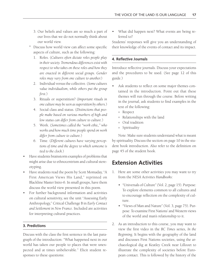- 3. Our beliefs and values are so much a part of our lives that we do not normally think about our world view.
- Discuss how world view can affect some specific aspects of culture, such as the following:
	- 1. Roles. (*Cultures often dictate roles people play in their society. Tremendous differences exist with respect to who takes on these roles and how they are enacted in different social groups. Gender roles may vary from one culture to another.*)
	- 2. Individual versus the collective. (*Some cultures value individualism, while others put the group first.*)
	- 3. Rituals or superstition? (*Important rituals in one culture may be seen as superstition by others.*)
	- 4. Social class and status. (*Distinctions that people make based on various markers of high and low status can differ from culture to culture*.)
	- 5. Work. (*Sometimes called the "work ethic," who works and how much time people spend on work differ from culture to culture.*)
	- 6. Time. (*Different cultures have varying perceptions of time and the degree to which someone is tied to the clock.*)
- Have students brainstorm examples of problems that might arise due to ethnocentrism and cultural stereotyping.
- Have students read the poem by Scott Momaday, "A First American Views His Land," reprinted on Blackline Master Intro-6. In small groups, have them discuss the world view presented in this poem.
- For further background information and activities on cultural sensitivity, see the unit "Assessing Early Anthropology," Critical Challenge B in *Early Contact and Settlement in New France*. Included are activities for interpreting cultural practices.

#### **3. Predictions**

Discuss with the class the first sentence in the last paragraph of the introduction: "What happened next in our world has taken our people to places that were unexpected and at times unbelievable." Elicit student responses to these questions:

• What did happen next? What events are being referred to?

Students' responses will give you an understanding of their knowledge of the events of contact and its impact.

#### **4. Reflective Journals**

Introduce reflective journals. Discuss your expectations and the procedures to be used. (See page 12 of this guide.)

- Ask students to reflect on some major themes contained in the introduction. Point out that these themes will run through the course. Before writing in the journal, ask students to find examples in the text of the following:
	- ° Respect
	- ° Relationships with the land
	- ° Oral tradition
	- ° Spirituality

Note: Make sure students understand what is meant by spirituality. Discuss the section on page 10 in the student book introduction. Also refer to the definition on page 45 of the student book.

## **Extension Activities**

- 1. Here are some other activities you may want to try from the *NESA Activities Handbooks*:
	- "Universals of Culture" (Vol. 2, page 15). Purpose: To explore elements common to all cultures and to encourage reflection on the complexity of culture.
	- "Views of Man and Nature" (Vol. 3, page 75). Purpose: To examine First Nations' and Western views of the world and man's relationship to it.
- 2. As an introduction to this course, you may want to view the first video in the *BC Times* series, *In the Beginning.* It begins with the geography of the land and discusses First Nations societies, using the archaeological dig at Keatley Creek near Lillooet to illustrate the complexity of societies before European contact. This is followed by the history of the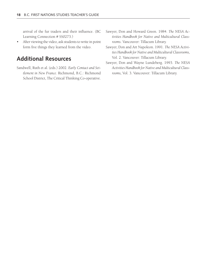arrival of the fur traders and their influence. (BC Learning Connection # SS0273.)

• After viewing the video, ask students to write in point form five things they learned from the video.

## **Additional Resources**

- Sandwell, Ruth et al. (eds.) 2002. *Early Contact and Settlement in New France.* Richmond, B.C.: Richmond School District, The Critical Thinking Co-operative.
- Sawyer, Don and Howard Green. 1984. *The NESA Activities Handbook for Native and Multicultural Classrooms*. Vancouver: Tillacum Library.
- Sawyer, Don and Art Napoleon. 1991. *The NESA Activities Handbook for Native and Multicultural Classrooms,* Vol. 2. Vancouver: Tillacum Library.
- Sawyer, Don and Wayne Lundeberg. 1993. *The NESA Activities Handbook for Native and Multicultural Classrooms,* Vol. 3. Vancouver: Tillacum Library.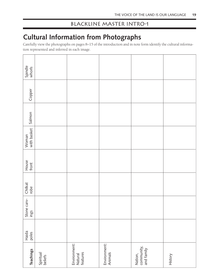# **Cultural Information from Photographs**

Carefully view the photographs on pages 8–15 of the introduction and in note form identify the cultural information represented and inferred in each image.

| Spindle<br>whorls    |                      |                                     |                         |                                     |         |
|----------------------|----------------------|-------------------------------------|-------------------------|-------------------------------------|---------|
| Copper               |                      |                                     |                         |                                     |         |
| Salmon               |                      |                                     |                         |                                     |         |
| Woman<br>with basket |                      |                                     |                         |                                     |         |
| House<br>front       |                      |                                     |                         |                                     |         |
| Chilkat<br>robe      |                      |                                     |                         |                                     |         |
| Stone carv-<br>ings  |                      |                                     |                         |                                     |         |
| Haida<br>poles       |                      |                                     |                         |                                     |         |
| <b>Teachings</b>     | Spiritual<br>beliefs | Environment:<br>Natural<br>features | Environment:<br>Animals | Nation,<br>community,<br>and family | History |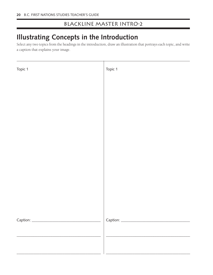# **Illustrating Concepts in the Introduction**

Select any two topics from the headings in the introduction, draw an illustration that portrays each topic, and write a caption that explains your image.

| Topic 1 | Topic 1 |
|---------|---------|
|         |         |
|         |         |
|         |         |
|         |         |
|         |         |
|         |         |
|         |         |
|         |         |
|         |         |
|         |         |
|         |         |
|         |         |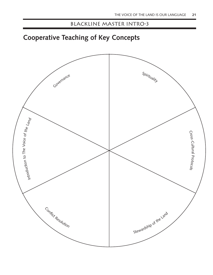# **Cooperative Teaching of Key Concepts**

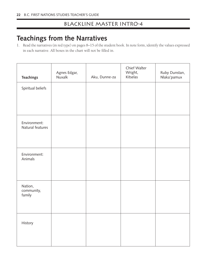# **Teachings from the Narratives**

1. Read the narratives (in red type) on pages 8–15 of the student book. In note form, identify the values expressed in each narrative. All boxes in the chart will not be filled in.

| <b>Teachings</b>                 | Agnes Edgar,<br>Nuxalk | Aku, Dunne-za | Chief Walter<br>Wright,<br>Kitselas | Ruby Dunstan,<br>Nlaka'pamux |
|----------------------------------|------------------------|---------------|-------------------------------------|------------------------------|
| Spiritual beliefs                |                        |               |                                     |                              |
| Environment:<br>Natural features |                        |               |                                     |                              |
| Environment:<br>Animals          |                        |               |                                     |                              |
| Nation,<br>community,<br>family  |                        |               |                                     |                              |
| History                          |                        |               |                                     |                              |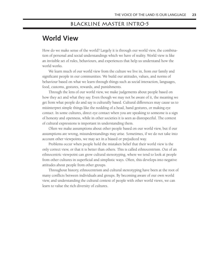## Blackline Master Intro-5

# **World View**

How do we make sense of the world? Largely it is through our world view, the combination of personal and social understandings which we have of reality. World view is like an invisible set of rules, behaviours, and experiences that help us understand how the world works.

We learn much of our world view from the culture we live in, from our family and significant people in our communities. We build our attitudes, values, and norms of behaviour based on what we learn through things such as social interaction, languages, food, customs, gestures, rewards, and punishments.

Through the lens of our world view, we make judgements about people based on how they act and what they say. Even though we may not be aware of it, the meaning we get from what people do and say is culturally based. Cultural differences may cause us to misinterpret simple things like the nodding of a head, hand gestures, or making eye contact. In some cultures, direct eye contact when you are speaking to someone is a sign of honesty and openness, while in other societies it is seen as disrespectful. The context of cultural expressions is important in understanding them.

Often we make assumptions about other people based on our world view, but if our assumptions are wrong, misunderstandings may arise. Sometimes, if we do not take into account other viewpoints, we may act in a biased or prejudiced way.

Problems occur when people hold the mistaken belief that their world view is the only correct view, or that it is better than others. This is called ethnocentrism. Out of an ethnocentric viewpoint can grow cultural stereotyping, where we tend to look at people from other cultures in superficial and simplistic ways. Often, this develops into negative attitudes about people from other groups.

Throughout history, ethnocentrism and cultural stereotyping have been at the root of many conflicts between individuals and groups. By becoming aware of our own world view, and understanding the cultural context of people with other world views, we can learn to value the rich diversity of cultures.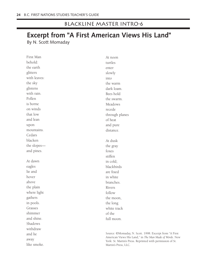## Blackline Master Intro-6

## **Excerpt from "A First American Views His Land"** By N. Scott Momaday

First Man behold: the earth glitters with leaves: the sky glistens with rain. Pollen is borne on winds that low and lean upon mountains. Cedars blacken the slopes and pines. At dawn eagles lie and hover above the plain where light gathers in pools. Grasses shimmer and shine. Shadows withdraw and lie away At noon turtles enter slowly into the warm dark loam. Bees hold the swarm. Meadows recede through planes of heat and pure distance. At dusk the gray foxes stiffen in cold; blackbirds are fixed in white branches. Rivers follow the moon, the long white track of the full moon.

like smoke.

Source: ©Momaday, N. Scott. 1998. Excerpt from "A First American Views His Land," in *The Man Made of Words*. New York: St. Martin's Press. Reprinted with permission of St. Martin's Press, LLC.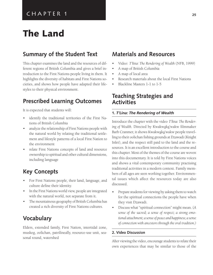# **The Land**

## **Summary of the Student Text**

This chapter examines the land and the resources of different regions of British Columbia and gives a brief introduction to the First Nations people living in them. It highlights the diversity of habitats and First Nations societies, and shows how people have adapted their lifestyles to their physical environment.

## **Prescribed Learning Outcomes**

It is expected that students will:

- identify the traditional territories of the First Nations of British Columbia
- analyze the relationship of First Nations people with the natural world by relating the traditional settlement and lifestyle patterns of a local First Nation to the environment
- relate First Nations concepts of land and resource ownership to spiritual and other cultural dimensions, including language

## **Key Concepts**

- For First Nations people, their land, language, and culture define their identity.
- In the First Nations world view, people are integrated with the natural world, not separate from it.
- The mountainous geography of British Columbia has created a rich diversity of First Nations cultures.

## **Vocabulary**

Elders, extended family, First Nation, intertidal zone, muskeg, oolichan, patrilineally, resource-use unit, seasonal round, watershed

## **Materials and Resources**

- Video: T'lina: The Rendering of Wealth (NFB, 1999)
- A map of British Columbia
- A map of local area
- Research materials about the local First Nations
- Blackline Masters 1-1 to 1-5

## **Teaching Strategies and Activities**

#### **1.** *T'Lina: The Rendering of Wealth*

Introduce the chapter with the video T'lina: The Render*ing of Wealth*. Directed by Kwakwaka'wakw filmmaker Barb Cranmer, it shows Kwakwaka'wakw people travelling to their oolichan fishing grounds at Dzawadi (Knight Inlet), and the respect still paid to the land and the resources. It is an excellent introduction to the course and this chapter. Most of the themes of the course are woven into this documentary. It is told by First Nations voices and shows a vital contemporary community practising traditional activities in a modern context. Family members of all ages are seen working together. Environmental issues which affect the resources today are also discussed.

- Prepare students for viewing by asking them to watch for the spiritual connections the people have when they visit Dzawadi.
- Discuss what "spiritual connection" might mean. (*A sense of the sacred; a sense of respect; a strong emotional attachment; a sense of peace and happiness; a sense of connection with ancestors through the oral tradition.)*

#### **2. Video Discussion**

After viewing the video, encourage students to relate their own experiences that may be similar to those of the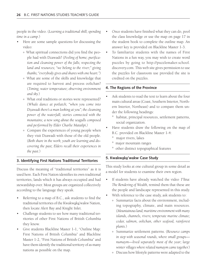people in the video. (*Learning a traditional skill; spending time in a camp.*)

- Here are some sample questions for discussing the video:
	- ° What spiritual connections did you find the people had with Dzawadi? (*Feeling of home; purification and cleansing power of the falls; respecting the land and resources; "we belong to the river;" giving thanks; "everybody gives and shares with one heart.")*
	- ° What are some of the skills and knowledge that are required to harvest and process oolichan? (*Timing; water temperature; observing environment and sky.*)
	- ° What oral traditions or stories were represented? (*Whale dance at potlatch; "when you come into Dzawadi there's a man looking at you"; the cleansing power of the waterfall; stories connected with the mountains; a new song about the seagulls composed and performed by Elder Charlie Matailpi.)*
	- ° Compare the experiences of young people when they visit Dzawadi with those of the old people. (*Both share in the work; youth are learning and discovering the past; Elders recall their experiences in the past.*)

#### **3. Identifying First Nations Traditional Territories**

Discuss the meaning of "traditional territories" as it is used here. Each First Nation identifies its own traditional territories, lands which it has always occupied and had stewardship over. Most groups are organized collectively according to the language they speak.

- Referring to a map of B.C., ask students to find the traditional territories of the Kwakwaka'wakw Nation, then locate Alert Bay and Knight Inlet.
- Challenge students to see how many traditional territories of other First Nations of British Columbia they know.
- Give students Blackline Master 1-1, "Outline Map: First Nations of British Columbia" and Blackline Master 1-2, "First Nations of British Columbia" and have them identify the traditional territory of as many nations as possible on the map.
- Once students have finished what they can do, pool the class knowledge or use the map on page 17 in the student book to complete the outline map. An answer key is provided on Blackline Master 1-3.
- To familiarize students with the names of First Nations in a fun way, you may wish to create word puzzles by going to http://puzzlemaker.school. discovery.com. This web site gives permission to use the puzzles for classroom use provided the site is credited on the puzzles.

#### **4. The Regions of the Province**

- Ask students to read the text to learn about the four main cultural areas (Coast, Southern Interior, Northern Interior, Northeast) and to compare them under the following headings:
	- habitat, principal resources, settlement patterns, social organization.
- Have students draw the following on the map of B.C. provided on Blackline Master 1-4:
	- ° major rivers, lakes
	- ° major mountain ranges
	- ° other distinct topographical features

#### **5. Kwakwaka'wakw Case Study**

This study looks at one cultural group in some detail as a model for students to examine their own region.

- If students have already watched the video T'lina: *The Rendering of Wealth,* remind them that these are the people and landscape represented in this study.
- With reference to the case study, ask students to:
	- ° Summarize facts about the environment, including topography, climate, and main resources. (*Mountainous land; maritime environment with many islands, channels, rivers; temperate marine climate; cedar, salmon, oolichan, other seafood, rainforest plants.*)
	- ° Summarize settlement patterns. (R*esource camps in step with seasonal rounds, where small groups numaym—lived separately most of the year; large winter villages where related numaym came together.*)
	- ° Discuss how lifestyle patterns were adapted to the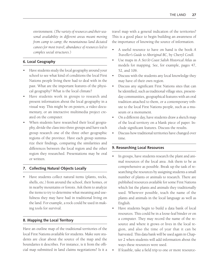environment. (*The variety of resources and their seasonal availability in different areas meant moving from camp to camp; the mountainous land dictated canoes for most travel; abundance of resources led to complex social structures*.)

#### **6. Local Geography**

- Have students study the local geography around your school to see what kind of conditions the local First Nations people living there had to deal with in the past. What are the important features of the physical geography? What is the local climate?
- Have students work in groups to research and present information about the local geography in a visual way. This might be on posters, a video documentary, or an interactive multimedia project created on the computer.
- When students have researched their local geography, divide the class into three groups and have each group research one of the three other geographic regions of the province. Have each group summarize their findings, comparing the similarities and differences between the local region and the other region they researched. Presentations may be oral or written.

#### **7. Collecting Natural Objects Locally**

• Have students collect natural items (plants, rocks, shells, etc.) from around the school, their homes, or in nearby mountains or forests. Ask them to analyze the items to try to determine what meaning and usefulness they may have had in traditional living on the land. For example, a rock could be used in making tools for survival.

#### **8. Mapping the Local Territory**

Have an outline map of the traditional territories of the local First Nations available for students. Make sure students are clear about the source of the map and the boundaries it describes. For instance, is it from the official map submitted in land claims negotiations? Is it a travel map with a general indication of the territories? This is a good place to begin building an awareness of the importance of knowing the source of information.

- A useful resource to have on hand is the book *A Traveller's Guide to Aboriginal BC*, by Cheryl Coull.
- Use maps in *A* Stó:lø *Coast Salish Historical Atlas* as models for mapping. See, for example, pages 47, 52, and 106.
- Discuss with the students any local knowledge they may have of their own region.
- Discuss any significant First Nations sites that can be identified, such as traditional village sites, presentday communities, geographical features with an oral tradition attached to them, or a contemporary tribute to the local First Nations people, such as a museum or a monument.
- On a different day, have students draw a sketch map of the local territory on a blank piece of paper. Include significant features. Discuss the results.
- Discuss how traditional territories have changed over time.

#### **9. Researching Local Resources**

- In groups, have students research the plant and animal resources of the local area. Ask them to be as comprehensive as possible. Break up the task of researching the resources by assigning students a small number of plants or animals to research. There are published resources available for some First Nations which list the plants and animals they traditionally used. Wherever possible, teach the name of the plants and animals in the local language as well as English.
- Have students begin to build a data bank of local resources. This could be in a loose-leaf binder or on a computer. They may record the name of the resource and where it grows or lives in the local region, and also the time of year that it can be harvested. This data bank will be used again in Chapter 2 when students will add information about the ways these resources were used.
- If feasible, take a field trip to one or more resource-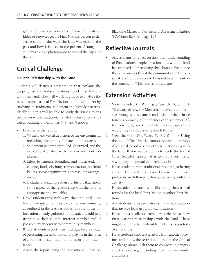gathering places in your area. If possible invite an Elder or knowledgeable First Nations person to describe some of the ways the land was used in the past and how it is used in the present. Arrange for students to take photographs to record the trip and the land.

## **Critical Challenge**

#### **Holistic Relationship with the Land**

Students will design a presentation that explains the deep-rooted and holistic relationship of First Nations with their land. They will work in groups to analyze the relationship of a local First Nation to its environment by studying the traditional settlement and lifestyle patterns. Ideally students will be able to study the First Nations people on whose traditional territory your school is located, building on Activities 6, 7, and 8 above.

- Features of the report:
	- 1. Written and visual depiction of the environment, including topography, climate, and resources.
	- 2. Settlement patterns identified, illustrated, and the causal relationship with the environment explained.
	- 3. Lifestyle patterns identified and illustrated, including food, clothing, transportation, spiritual beliefs, social organization, and resource management.
	- 4. Includes one example of an oral history that shows some aspect of the relationship with the land (if appropriate and available).
- Have students research ways that the local First Nations adapted their lifestyle to their environment, as outlined in the features above. Start with the information already gathered in this unit and add to it using published sources, Internet searches and, if possible, interviews with community members.
- Before students report their findings, discuss ways of presenting the information. It may be in the form of a booklet, poster, map, diorama, or oral presentation.
- Assess the report using the Assessment Rubric on

Blackline Master 1-5 or General Assessment Rubric 3 (Written Report), page 192.

## **Reflective Journals**

Ask students to reflect on how their understanding of First Nations people's relationships with the land has changed after studying this chapter. Encourage them to consider this at the community and the personal level. Students could be asked to comment on the statement, "This land is our culture."

## **Extension Activities**

- 1. View the video *The Washing of Tears* (NFB, 55 min). This story of how the Mowachat revived their heritage through songs, dances, and revisiting their shrine touches on many of the themes of this chapter. After viewing it, ask students to choose topics they would like to discuss or research further.
- 2. View the video *This Sacred Earth* (10 min.). Using the text of Chief Seattle's famous speech, it conveys Aboriginal peoples' view of their relationship with the land. If you want students to study the text of Chief Seattle's speech, it is available on-line at www.halcyon.com/arborhts/chiefsea.html.
- 3. Have students map traditional resource-gathering sites in the local territories. Ensure that proper protocols are followed before proceeding with this activity.
- 4. Have students create posters illustrating the seasonal rounds for the local First Nation or other First Nations.
- 5. Ask students to research stories in the oral tradition that involve local geographical locations.
- 6. Have the class collect current news articles that show First Nations relationships with the land. These might include articles about land claims, or protests over land use.
- 7. Have students choose a territory from another province and follow the activities outlined in the Critical Challenge above. Ask them to compare this region and the local region, noting how they are similar and different.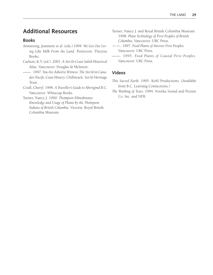## **Additional Resources**

#### **Books**

- Armstrong, Jeannette et al. (eds.) 1994. *We Get Our Living Like Milk From the Land*. Penticton: Theytus Books.
- Carlson, K.T. (ed.). 2001. *A* Stó:lø*-Coast Salish Historical Atlas*. Vancouver: Douglas & McIntyre.
- ——. 1997. *You Are Asked to Witness: The* Stó:lø *in Canada's Pacific Coast History.* Chilliwack: Stó:lø Heritage Trust.
- Coull, Cheryl. 1996. *A Traveller's Guide to Aboriginal B.C.* Vancouver: Whitecap Books.
- Turner, Nancy J. 1990. *Thompson Ethnobotany: Knowledge and Usage of Plants by the Thompson Indians of British Columbia.* Victoria: Royal British Columbia Museum.
- Turner, Nancy J. and Royal British Columbia Museum. 1998. *Plant Technology of First Peoples of British Columbia.* Vancouver: UBC Press.
- ——. 1997. *Food Plants of Interior First Peoples.* Vancouver: UBC Press.
- ——. 1995. *Food Plants of Coastal First Peoples.* Vancouver: UBC Press.

### **Videos**

- *This Sacred Earth.* 1995. Kohl Productions. (Available from B.C. Learning Connections.)
- *The Washing of Tears.* 1994. Nootka Sound and Picture Co. Inc. and NFB.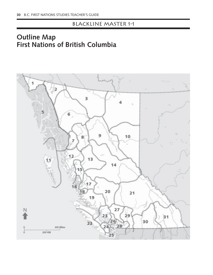## Blackline Master 1-1

## **Outline Map First Nations of British Columbia**

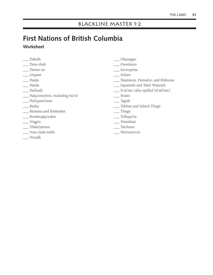# **First Nations of British Columbia Worksheet**

- \_\_\_ Dakelh
- \_\_\_ Dene-thah
- \_\_\_ Dunne-za
- \_\_\_ Gitxsan
- \_\_\_ Haida
- \_\_\_ Haisla
- \_\_\_ Heiltsuk
- \_\_\_ Halq'emeylem, including Stó:lø
- \_\_\_ Hul'qumi'num
- \_\_\_ Kaska
- \_\_\_ Ktunaxa and Kinbasket
- \_\_\_ Kwakwaka'wakw
- \_\_\_ Nisga'a
- \_\_\_ Nlaka'pamux
- \_\_\_ Nuu-chah-nulth
- \_\_\_ Nuxalk
- \_\_\_ Okanagan
- \_\_\_ Oweekeno
- \_\_\_ Secwepemc
- \_\_\_ Sekani
- \_\_\_ Sliammon, Homalco, and Klahoose
- \_\_\_ Squamish and Tsleil Waututh
- \_\_\_ St'at'imc (also spelled Stl'atl'imc)
- \_\_\_ Straits
- \_\_\_ Tagish
- \_\_\_ Tahltan and Inland Tlingit
- \_\_\_ Tlingit
- \_\_\_ Tsilhqot'in
- \_\_\_ Tsimshian
- \_\_\_ Tutchone
- \_\_\_ Wet'suwet'en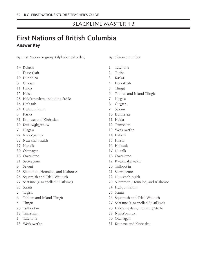## Blackline Master 1-3

## **First Nations of British Columbia Answer Key**

By First Nation or group (alphabetical order)

- 14 Dakelh
- 4 Dene-thah
- 10 Dunne-za
- 8 Gitxsan
- 11 Haida
- 15 Haisla
- 28 Halq'emeylem, including Stó:lø
- 16 Heiltsuk
- 24 Hul'qumi'num
- 3 Kaska
- 31 Ktunaxa and Kinbasket
- 19 Kwakwaka'wakw
- 7 Nisga'a
- 29 Nlaka'pamux
- 22 Nuu-chah-nulth
- 17 Nuxalk
- 30 Okanagan
- 18 Oweekeno
- 21 Secwepemc
- 9 Sekani
- 23 Sliammon, Homalco, and Klahoose
- 26 Squamish and Tsleil Waututh
- 27 St'at'imc (also spelled Stl'atl'imc)
- 25 Straits
- 2 Tagish
- 6 Tahltan and Inland Tlingit
- 5 Tlingit
- 20 Tsilhqot'in
- 12 Tsimshian
- 1 Tutchone
- 13 Wet'suwet'en
- By reference number
- 1 Tutchone
- 2 Tagish
- 3 Kaska
- 4 Dene-thah
- 5 Tlingit
- 6 Tahltan and Inland Tlingit
- 7 Nisga'a
- 8 Gitxsan
- 9 Sekani
- 10 Dunne-za
- 11 Haida
- 12 Tsimshian
- 13 Wet'suwet'en
- 14 Dakelh
- 15 Haisla
- 16 Heiltsuk
- 17 Nuxalk
- 18 Oweekeno
- 19 Kwakwaka'wakw
- 20 Tsilhqot'in
- 21 Secwepemc
- 22 Nuu-chah-nulth
- 23 Sliammon, Homalco, and Klahoose
- 24 Hul'qumi'num
- 25 Straits
- 26 Squamish and Tsleil Waututh
- 27 St'at'imc (also spelled Stl'atl'imc)
- 28 Halq'emeylem, including Stó:lø
- 29 Nlaka'pamux
- 30 Okanagan
- 31 Ktunaxa and Kinbasket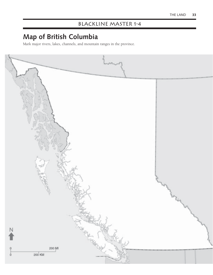## BLACKLINE MASTER 1-4

# **Map of British Columbia**

Mark major rivers, lakes, channels, and mountain ranges in the province.